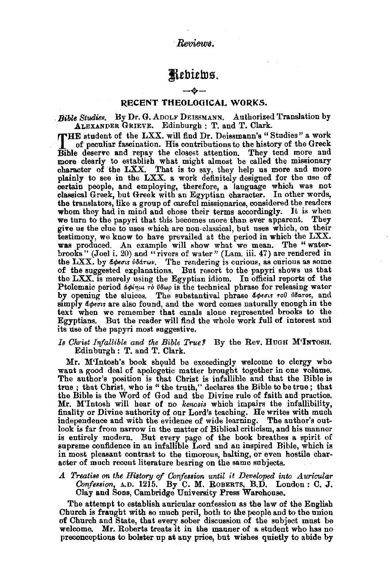*·Reviews.* 

# Jltbittu.s.

# RECENT THEOLOOICAL -·- WORKS.

*Bible Studies.* By Dr. G. ADOLF DEISSMANN. Authorized Translation by ALEXANDER GRIEVE. Edinburgh : T. and T. Clark.

THE student of the LXX. will find Dr. Deissmann's "Studies" a work<br>of peculiar fascination. His contributions to the history of the Greek<br>Bible deserve and repay the closest attention. They tend more and of peculiar fascination. His contributions to the history of the Greek Bible deserve and repay the closest attention. They tend more and more clearly to establish what might almost be called the missionary character of the LXX. That is to say, they help us more and more plainly to see in the LXX. a work definitely designed for the use of certain people, and employing, therefore, a language which was not classical Greek, but Greek with an Egyptian character. In other words, the translators, like a group of careful missionaries, considered the readers we turn to the papyri that this becomes more than ever apparent. They give us the clue to uses which are non-classical, but uses which, on their testimony, we know to have prevailed at the period in which the LXX. was produced. An example will show what we mean. The "waterbrooks" (Joel i. 20) and "rivers of water" (Lam. iii. 47) are rendered in the LXX. by  $d\phi_{\epsilon\sigma\sigma s}$  is  $d\phi_{\sigma\sigma s}$ . The rendering is curious, as curious as some of the suggested explanations. But resort to the papyri shows us that the LXX. is merely using the Egyptian idiom, In official reports of the Ptolemaic period  $d\phi/\eta\mu\tau\delta$   $\theta\delta\omega\rho$  is the technical phrase for releasing water by opening the sluices. The substantival phrase docous roll Udaros, and simply  $d$   $\phi$   $\epsilon \sigma$  are also found, and the word comes naturally enough in the text when we remember that canals alone represented brooks to the Egyptians. But the reader will find the whole work full of interest and its use of the papyri most suggestive.

Is Christ Infallible and the Bible True? By the Rev. HUGH M'INTOSH. Edinburgh : T. and T. Clark.

Mr. M'Intosh's book should be exceedingly welcome to clergy who want a good deal of apologetic matter brought together in one volume. The author's position is that Christ is infallible and that the Bible is true ; that Christ, who is "the truth," declares the Bible to be true; that the Bible is the Word of God and the Divine rule of faith and practice. Mr. M'Intosh will hear of no *kenosis* which impairs the infallibility, finality or Divine authority of our Lord's teaching. He writes with much independence and with the evidence of wide learning. The author's out-<br>look is far from narrow in the matter of Biblical criticism, and his manner is entirely modern. But every page of the book breathes a spirit of supreme confidence in an infallible Lord and an inspired Bible, which is in most pleasant contrast to the timorous, halting, or even hostile character of much recent literature bearing on the same subjects.

A Treatise on the History of Confession until it Developed into Auricular *Confession*, A.D. 1215. By C. M. ROBERTS, B.D. London : C. J. Clay and Sons, Cambridge University Press Warehouse.

The attempt to establish auricular confession as the law of the English Church is fraught with so much peril, both to the people and to the union of Church and State, that every sober discussion of the subject must be welcome. Mr. Roberts treats it in the manner of a student who has no preconceptions to bolster np at any price, but wishes quietly to abide by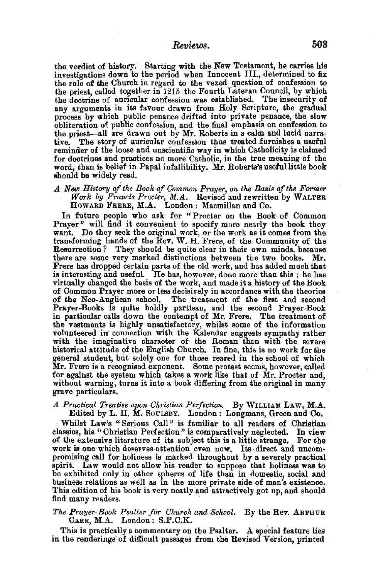the verdict of history. Starting with the New Testament, he carries his investigations down to the period when Innocent III., determined to fix the rule of the Church in regard to the vexed question of confession to the priest, called together in 1215 the Fourth Lateran Council, by which the doctrine of auricular confession was established. The insecurity of any arguments in its favour drawn from Holy Scripture, the gradual process by which public penance drifted into private penance, the slow obliteration of public confession, and the final emphasis on confession to the priest-all are drawn out by Mr. Roberts in a calm and lucid narrative. The story of auricular confession thus treated furnishes a useful reminder of the loose and unscientifio way in which Catholicity is claimed for doctrines and practices no more Catholic, in the true meaning of the word, than is belief in Papal infallibility. Mr. Roberts's useful little book should be widely read.

*A New History qf the Book of Common Prayer, on the Basis of the Former Work by Francis Procter,* M.A. Revised and rewritten by WALTER HowARD FRERE, M.A. London : Macmillan and Co.

In future people who ask for " Procter on the Book of Common Prayer" will find it convenient to specify more nearly the book they want. Do they seek the original work, or the work as it comes from the transforming hands of the Rev. W. H. Frere, of the Community of the Resurrection? They should be quite clear in their own minds, because there are some very marked distinctions between the two books. Mr. Frere has dropped certain parts of the old work, and has added much that is interesting and useful. He has, however, done more than this; he has virtually changed the basis of the work, and made it a history of the Book of Common Prayer more or less decisively in accordance with the theories of the Neo-Anglican school. The treatment of the first and second Prayer-Books is quite boldly partisan, and the second Prayer-Book in particular calls down the contempt of Mr. Frere. The treatment of the vestments is highly unsatisfactory, whilst some of the information volunteered in connection with the Kalendar suggests sympathy rather<br>with the imaginative character of the Roman than with the severe historical attitude of the English Church. In fine, this is no work for the general· student, but solely one for those reared in the school of which Mr. Frere is a recognised exponent. Some protest seems, however, called for against the system which takes a work like that of Mr. Procter and. without warning, turns it into a book differing from the original in many grave particulars.

*A Practical Treatise upon Christian Perfection.* By WILLIAM LAW, M.A. Edited by L. H. M. SouLSBY. London : Longmans, Green and Co.

Whilst Law's "Serious Call" is familiar to all readers of Christian. classics, his " Christian Perfection" is comparatively neglected. In view of the extensive literature of its subject this is a little strange. For the work is one which deserves attention even now. Its direct and uncom-<br>promising call for holiness is marked throughout by a severely practical spirit. Law would not allow his reader to suppose that holiness was to be exhibited only in other spheres of life than in domestic, social and business relations as well as in the more private side of man's existence. This edition of his book is very neatly and attractively got up, and should find many readers.

### *The Prayer-Book P&alter for Church and School.* By the Rev. ARTHUR CARR, M.A. London: S.P.C.K. .

This is practically a commentary on the Psalter. A special feature lies in the renderings· of difficult passages from the Revised Version, printed